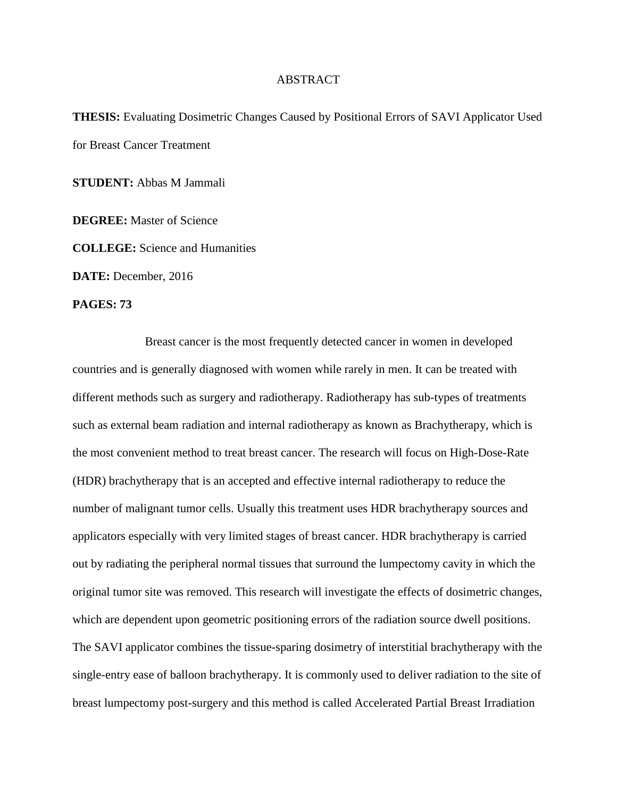## ABSTRACT

**THESIS:** Evaluating Dosimetric Changes Caused by Positional Errors of SAVI Applicator Used for Breast Cancer Treatment

**STUDENT:** Abbas M Jammali

**DEGREE:** Master of Science

**COLLEGE:** Science and Humanities

**DATE:** December, 2016

**PAGES: 73**

Breast cancer is the most frequently detected cancer in women in developed countries and is generally diagnosed with women while rarely in men. It can be treated with different methods such as surgery and radiotherapy. Radiotherapy has sub-types of treatments such as external beam radiation and internal radiotherapy as known as Brachytherapy, which is the most convenient method to treat breast cancer. The research will focus on High-Dose-Rate (HDR) brachytherapy that is an accepted and effective internal radiotherapy to reduce the number of malignant tumor cells. Usually this treatment uses HDR brachytherapy sources and applicators especially with very limited stages of breast cancer. HDR brachytherapy is carried out by radiating the peripheral normal tissues that surround the lumpectomy cavity in which the original tumor site was removed. This research will investigate the effects of dosimetric changes, which are dependent upon geometric positioning errors of the radiation source dwell positions. The SAVI applicator combines the tissue-sparing dosimetry of interstitial brachytherapy with the single-entry ease of balloon brachytherapy. It is commonly used to deliver radiation to the site of breast lumpectomy post-surgery and this method is called Accelerated Partial Breast Irradiation